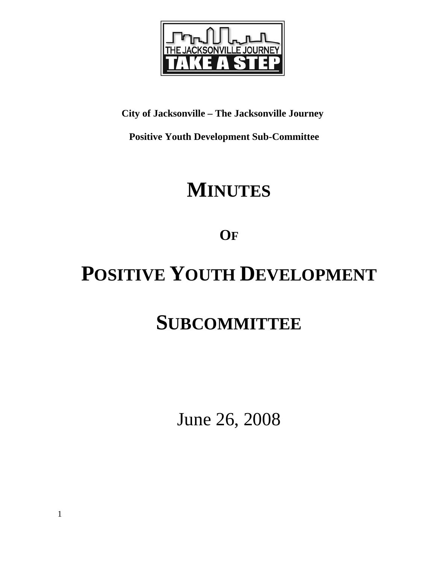

## **City of Jacksonville – The Jacksonville Journey**

 **Positive Youth Development Sub-Committee** 

## **MINUTES**

**OF**

# **POSITIVE YOUTH DEVELOPMENT**

## **SUBCOMMITTEE**

June 26, 2008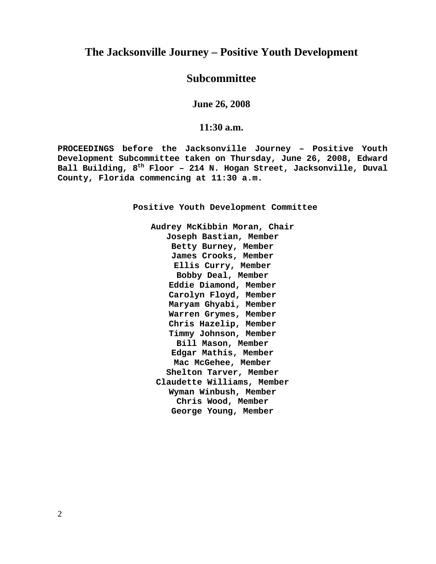## **The Jacksonville Journey – Positive Youth Development**

## **Subcommittee**

**June 26, 2008** 

### **11:30 a.m.**

**PROCEEDINGS before the Jacksonville Journey – Positive Youth Development Subcommittee taken on Thursday, June 26, 2008, Edward Ball Building, 8th Floor – 214 N. Hogan Street, Jacksonville, Duval County, Florida commencing at 11:30 a.m.** 

**Positive Youth Development Committee** 

**Audrey McKibbin Moran, Chair Joseph Bastian, Member Betty Burney, Member James Crooks, Member Ellis Curry, Member Bobby Deal, Member Eddie Diamond, Member Carolyn Floyd, Member Maryam Ghyabi, Member Warren Grymes, Member Chris Hazelip, Member Timmy Johnson, Member Bill Mason, Member Edgar Mathis, Member Mac McGehee, Member Shelton Tarver, Member Claudette Williams, Member Wyman Winbush, Member Chris Wood, Member George Young, Member**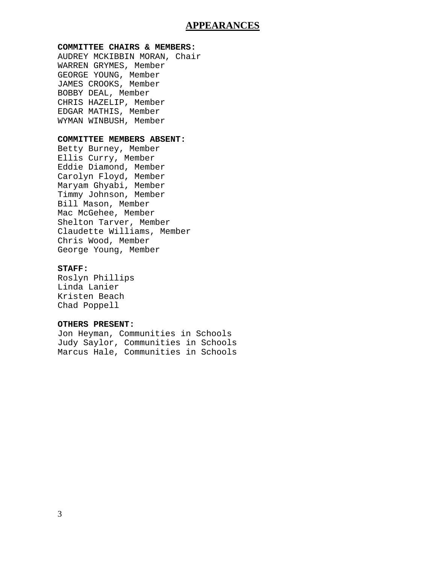### **APPEARANCES**

#### **COMMITTEE CHAIRS & MEMBERS:**

AUDREY MCKIBBIN MORAN, Chair WARREN GRYMES, Member GEORGE YOUNG, Member JAMES CROOKS, Member BOBBY DEAL, Member CHRIS HAZELIP, Member EDGAR MATHIS, Member WYMAN WINBUSH, Member

#### **COMMITTEE MEMBERS ABSENT:**

Betty Burney, Member Ellis Curry, Member Eddie Diamond, Member Carolyn Floyd, Member Maryam Ghyabi, Member Timmy Johnson, Member Bill Mason, Member Mac McGehee, Member Shelton Tarver, Member Claudette Williams, Member Chris Wood, Member George Young, Member

#### **STAFF:**

Roslyn Phillips Linda Lanier Kristen Beach Chad Poppell

#### **OTHERS PRESENT:**

Jon Heyman, Communities in Schools Judy Saylor, Communities in Schools Marcus Hale, Communities in Schools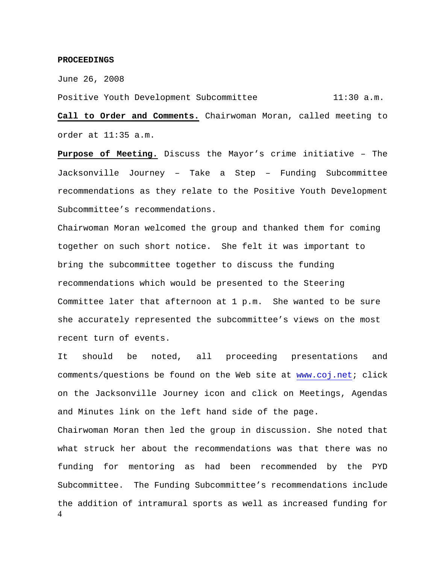#### **PROCEEDINGS**

June 26, 2008

Positive Youth Development Subcommittee 11:30 a.m.

**Call to Order and Comments.** Chairwoman Moran, called meeting to order at 11:35 a.m.

**Purpose of Meeting.** Discuss the Mayor's crime initiative – The Jacksonville Journey – Take a Step – Funding Subcommittee recommendations as they relate to the Positive Youth Development Subcommittee's recommendations.

Chairwoman Moran welcomed the group and thanked them for coming together on such short notice. She felt it was important to bring the subcommittee together to discuss the funding recommendations which would be presented to the Steering Committee later that afternoon at 1 p.m. She wanted to be sure she accurately represented the subcommittee's views on the most recent turn of events.

4 It should be noted, all proceeding presentations and comments/questions be found on the Web site at www.coj.net; click on the Jacksonville Journey icon and click on Meetings, Agendas and Minutes link on the left hand side of the page. Chairwoman Moran then led the group in discussion. She noted that what struck her about the recommendations was that there was no funding for mentoring as had been recommended by the PYD Subcommittee. The Funding Subcommittee's recommendations include the addition of intramural sports as well as increased funding for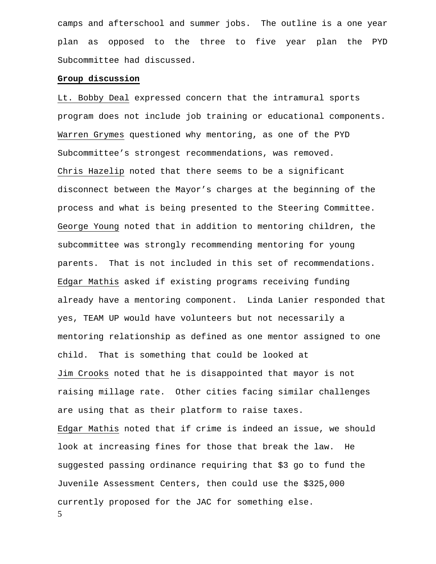camps and afterschool and summer jobs. The outline is a one year plan as opposed to the three to five year plan the PYD Subcommittee had discussed.

#### **Group discussion**

5 Lt. Bobby Deal expressed concern that the intramural sports program does not include job training or educational components. Warren Grymes questioned why mentoring, as one of the PYD Subcommittee's strongest recommendations, was removed. Chris Hazelip noted that there seems to be a significant disconnect between the Mayor's charges at the beginning of the process and what is being presented to the Steering Committee. George Young noted that in addition to mentoring children, the subcommittee was strongly recommending mentoring for young parents. That is not included in this set of recommendations. Edgar Mathis asked if existing programs receiving funding already have a mentoring component. Linda Lanier responded that yes, TEAM UP would have volunteers but not necessarily a mentoring relationship as defined as one mentor assigned to one child. That is something that could be looked at Jim Crooks noted that he is disappointed that mayor is not raising millage rate. Other cities facing similar challenges are using that as their platform to raise taxes. Edgar Mathis noted that if crime is indeed an issue, we should look at increasing fines for those that break the law. He suggested passing ordinance requiring that \$3 go to fund the Juvenile Assessment Centers, then could use the \$325,000 currently proposed for the JAC for something else.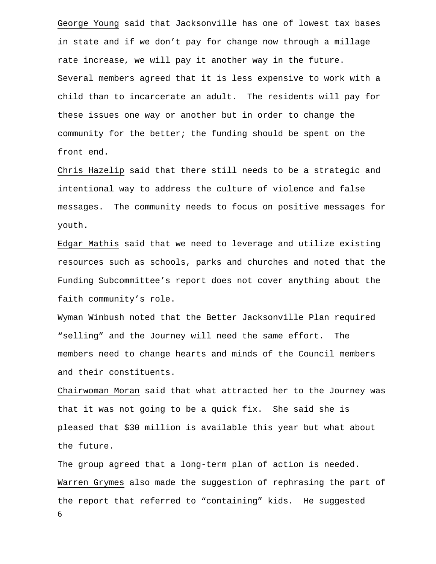George Young said that Jacksonville has one of lowest tax bases in state and if we don't pay for change now through a millage rate increase, we will pay it another way in the future. Several members agreed that it is less expensive to work with a child than to incarcerate an adult. The residents will pay for these issues one way or another but in order to change the community for the better; the funding should be spent on the front end.

Chris Hazelip said that there still needs to be a strategic and intentional way to address the culture of violence and false messages. The community needs to focus on positive messages for youth.

Edgar Mathis said that we need to leverage and utilize existing resources such as schools, parks and churches and noted that the Funding Subcommittee's report does not cover anything about the faith community's role.

Wyman Winbush noted that the Better Jacksonville Plan required "selling" and the Journey will need the same effort. The members need to change hearts and minds of the Council members and their constituents.

Chairwoman Moran said that what attracted her to the Journey was that it was not going to be a quick fix. She said she is pleased that \$30 million is available this year but what about the future.

6 The group agreed that a long-term plan of action is needed. Warren Grymes also made the suggestion of rephrasing the part of the report that referred to "containing" kids. He suggested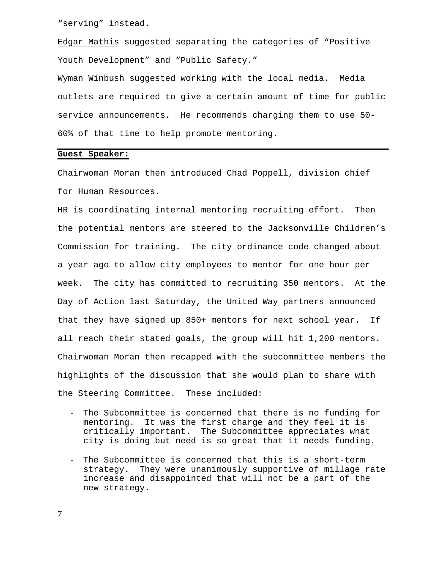"serving" instead.

Edgar Mathis suggested separating the categories of "Positive Youth Development" and "Public Safety."

Wyman Winbush suggested working with the local media. Media outlets are required to give a certain amount of time for public service announcements. He recommends charging them to use 50- 60% of that time to help promote mentoring.

#### **Guest Speaker:**

Chairwoman Moran then introduced Chad Poppell, division chief for Human Resources.

HR is coordinating internal mentoring recruiting effort. Then the potential mentors are steered to the Jacksonville Children's Commission for training. The city ordinance code changed about a year ago to allow city employees to mentor for one hour per week. The city has committed to recruiting 350 mentors. At the Day of Action last Saturday, the United Way partners announced that they have signed up 850+ mentors for next school year. If all reach their stated goals, the group will hit 1,200 mentors. Chairwoman Moran then recapped with the subcommittee members the highlights of the discussion that she would plan to share with the Steering Committee. These included:

- The Subcommittee is concerned that there is no funding for mentoring. It was the first charge and they feel it is critically important. The Subcommittee appreciates what city is doing but need is so great that it needs funding.
- The Subcommittee is concerned that this is a short-term strategy. They were unanimously supportive of millage rate increase and disappointed that will not be a part of the new strategy.

7